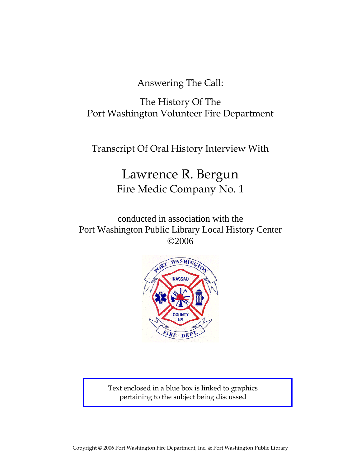Answering The Call:

The History Of The Port Washington Volunteer Fire Department

Transcript Of Oral History Interview With

# Lawrence R. Bergun Fire Medic Company No. 1

conducted in association with the Port Washington Public Library Local History Center ©2006



Text enclosed in a blue box is linked to graphics pertaining to the subject being discussed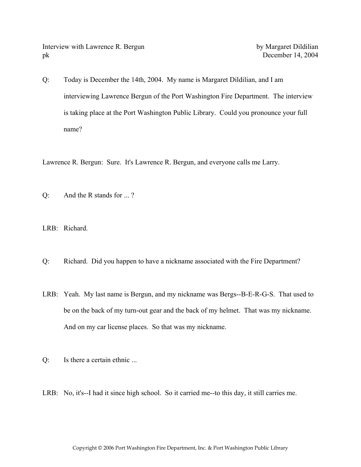Interview with Lawrence R. Bergun by Margaret Dildilian pk December 14, 2004

Q: Today is December the 14th, 2004. My name is Margaret Dildilian, and I am interviewing Lawrence Bergun of the Port Washington Fire Department. The interview is taking place at the Port Washington Public Library. Could you pronounce your full name?

Lawrence R. Bergun: Sure. It's Lawrence R. Bergun, and everyone calls me Larry.

Q: And the R stands for ... ?

LRB: Richard.

- Q: Richard. Did you happen to have a nickname associated with the Fire Department?
- LRB: Yeah. My last name is Bergun, and my nickname was Bergs--B-E-R-G-S. That used to be on the back of my turn-out gear and the back of my helmet. That was my nickname. And on my car license places. So that was my nickname.
- Q: Is there a certain ethnic ...
- LRB: No, it's--I had it since high school. So it carried me--to this day, it still carries me.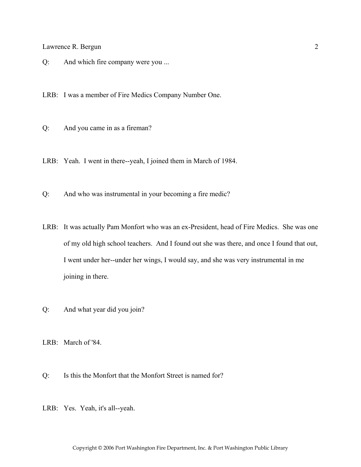Q: And which fire company were you ...

LRB: I was a member of Fire Medics Company Number One.

- Q: And you came in as a fireman?
- LRB: Yeah. I went in there--yeah, I joined them in March of 1984.
- Q: And who was instrumental in your becoming a fire medic?
- LRB: It was actually Pam Monfort who was an ex-President, head of Fire Medics. She was one of my old high school teachers. And I found out she was there, and once I found that out, I went under her--under her wings, I would say, and she was very instrumental in me joining in there.
- Q: And what year did you join?
- LRB: March of '84.
- Q: Is this the Monfort that the Monfort Street is named for?
- LRB: Yes. Yeah, it's all--yeah.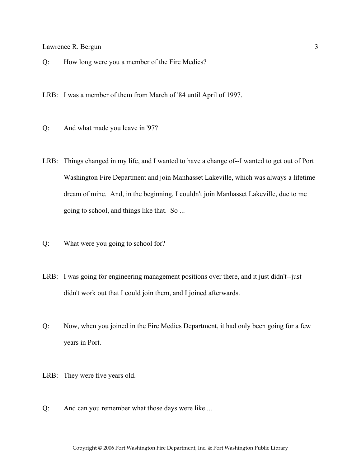Q: How long were you a member of the Fire Medics?

LRB: I was a member of them from March of '84 until April of 1997.

- Q: And what made you leave in '97?
- LRB: Things changed in my life, and I wanted to have a change of--I wanted to get out of Port Washington Fire Department and join Manhasset Lakeville, which was always a lifetime dream of mine. And, in the beginning, I couldn't join Manhasset Lakeville, due to me going to school, and things like that. So ...
- Q: What were you going to school for?
- LRB: I was going for engineering management positions over there, and it just didn't--just didn't work out that I could join them, and I joined afterwards.
- Q: Now, when you joined in the Fire Medics Department, it had only been going for a few years in Port.
- LRB: They were five years old.
- Q: And can you remember what those days were like ...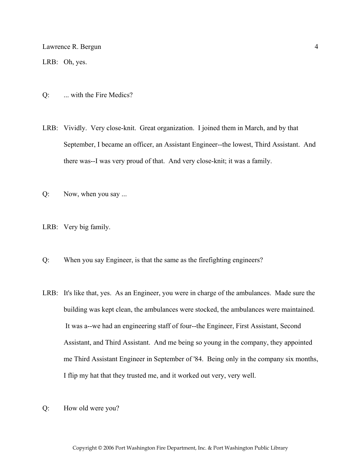LRB: Oh, yes.

- Q: ... with the Fire Medics?
- LRB: Vividly. Very close-knit. Great organization. I joined them in March, and by that September, I became an officer, an Assistant Engineer--the lowest, Third Assistant. And there was--I was very proud of that. And very close-knit; it was a family.
- Q: Now, when you say ...
- LRB: Very big family.
- Q: When you say Engineer, is that the same as the firefighting engineers?
- LRB: It's like that, yes. As an Engineer, you were in charge of the ambulances. Made sure the building was kept clean, the ambulances were stocked, the ambulances were maintained. It was a--we had an engineering staff of four--the Engineer, First Assistant, Second Assistant, and Third Assistant. And me being so young in the company, they appointed me Third Assistant Engineer in September of '84. Being only in the company six months, I flip my hat that they trusted me, and it worked out very, very well.
- Q: How old were you?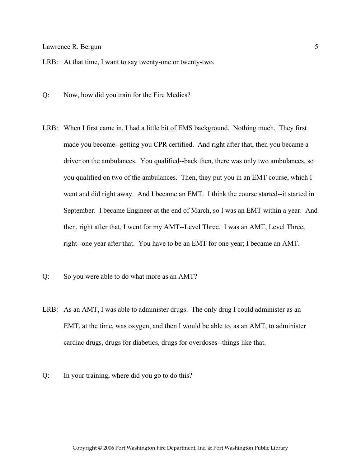LRB: At that time, I want to say twenty-one or twenty-two.

- Q: Now, how did you train for the Fire Medics?
- LRB: When I first came in, I had a little bit of EMS background. Nothing much. They first made you become--getting you CPR certified. And right after that, then you became a driver on the ambulances. You qualified--back then, there was only two ambulances, so you qualified on two of the ambulances. Then, they put you in an EMT course, which I went and did right away. And I became an EMT. I think the course started--it started in September. I became Engineer at the end of March, so I was an EMT within a year. And then, right after that, I went for my AMT--Level Three. I was an AMT, Level Three, right--one year after that. You have to be an EMT for one year; I became an AMT.
- Q: So you were able to do what more as an AMT?
- LRB: As an AMT, I was able to administer drugs. The only drug I could administer as an EMT, at the time, was oxygen, and then I would be able to, as an AMT, to administer cardiac drugs, drugs for diabetics, drugs for overdoses--things like that.
- Q: In your training, where did you go to do this?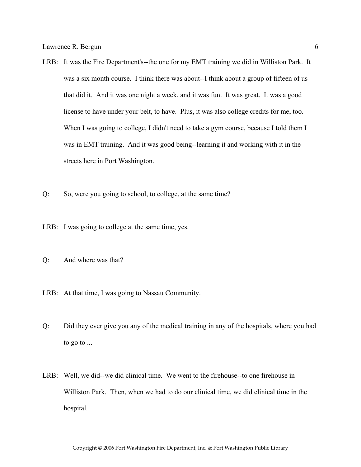- LRB: It was the Fire Department's--the one for my EMT training we did in Williston Park. It was a six month course. I think there was about--I think about a group of fifteen of us that did it. And it was one night a week, and it was fun. It was great. It was a good license to have under your belt, to have. Plus, it was also college credits for me, too. When I was going to college, I didn't need to take a gym course, because I told them I was in EMT training. And it was good being--learning it and working with it in the streets here in Port Washington.
- Q: So, were you going to school, to college, at the same time?
- LRB: I was going to college at the same time, yes.
- Q: And where was that?
- LRB: At that time, I was going to Nassau Community.
- Q: Did they ever give you any of the medical training in any of the hospitals, where you had to go to ...
- LRB: Well, we did--we did clinical time. We went to the firehouse--to one firehouse in Williston Park. Then, when we had to do our clinical time, we did clinical time in the hospital.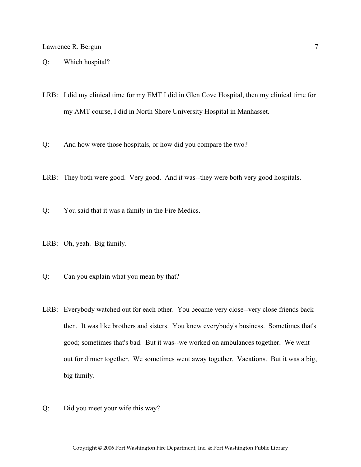#### Q: Which hospital?

LRB: I did my clinical time for my EMT I did in Glen Cove Hospital, then my clinical time for my AMT course, I did in North Shore University Hospital in Manhasset.

Q: And how were those hospitals, or how did you compare the two?

- LRB: They both were good. Very good. And it was--they were both very good hospitals.
- Q: You said that it was a family in the Fire Medics.
- LRB: Oh, yeah. Big family.
- Q: Can you explain what you mean by that?
- LRB: Everybody watched out for each other. You became very close--very close friends back then. It was like brothers and sisters. You knew everybody's business. Sometimes that's good; sometimes that's bad. But it was--we worked on ambulances together. We went out for dinner together. We sometimes went away together. Vacations. But it was a big, big family.
- Q: Did you meet your wife this way?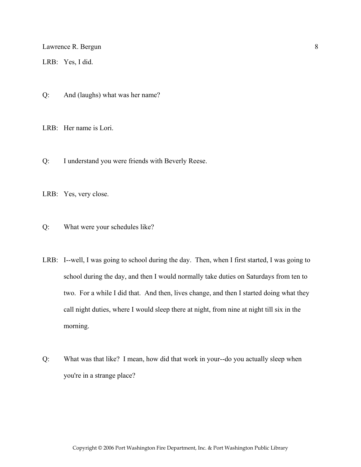LRB: Yes, I did.

Q: And (laughs) what was her name?

LRB: Her name is Lori.

Q: I understand you were friends with Beverly Reese.

LRB: Yes, very close.

Q: What were your schedules like?

- LRB: I--well, I was going to school during the day. Then, when I first started, I was going to school during the day, and then I would normally take duties on Saturdays from ten to two. For a while I did that. And then, lives change, and then I started doing what they call night duties, where I would sleep there at night, from nine at night till six in the morning.
- Q: What was that like? I mean, how did that work in your--do you actually sleep when you're in a strange place?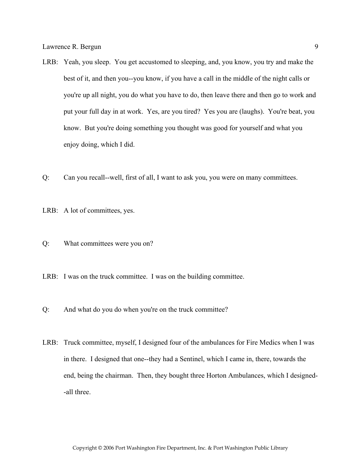- LRB: Yeah, you sleep. You get accustomed to sleeping, and, you know, you try and make the best of it, and then you--you know, if you have a call in the middle of the night calls or you're up all night, you do what you have to do, then leave there and then go to work and put your full day in at work. Yes, are you tired? Yes you are (laughs). You're beat, you know. But you're doing something you thought was good for yourself and what you enjoy doing, which I did.
- Q: Can you recall--well, first of all, I want to ask you, you were on many committees.
- LRB: A lot of committees, yes.
- Q: What committees were you on?
- LRB: I was on the truck committee. I was on the building committee.
- Q: And what do you do when you're on the truck committee?
- LRB: Truck committee, myself, I designed four of the ambulances for Fire Medics when I was in there. I designed that one--they had a Sentinel, which I came in, there, towards the end, being the chairman. Then, they bought three Horton Ambulances, which I designed- -all three.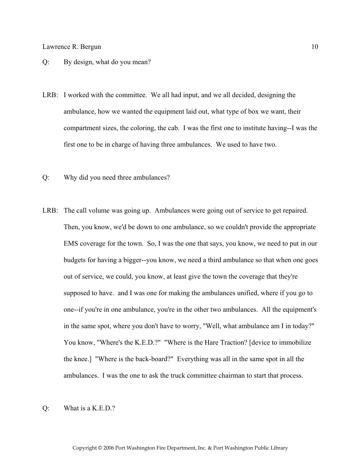- Q: By design, what do you mean?
- LRB: I worked with the committee. We all had input, and we all decided, designing the ambulance, how we wanted the equipment laid out, what type of box we want, their compartment sizes, the coloring, the cab. I was the first one to institute having--I was the first one to be in charge of having three ambulances. We used to have two.
- Q: Why did you need three ambulances?
- LRB: The call volume was going up. Ambulances were going out of service to get repaired. Then, you know, we'd be down to one ambulance, so we couldn't provide the appropriate EMS coverage for the town. So, I was the one that says, you know, we need to put in our budgets for having a bigger--you know, we need a third ambulance so that when one goes out of service, we could, you know, at least give the town the coverage that they're supposed to have. and I was one for making the ambulances unified, where if you go to one--if you're in one ambulance, you're in the other two ambulances. All the equipment's in the same spot, where you don't have to worry, "Well, what ambulance am I in today?" You know, "Where's the K.E.D.?" "Where is the Hare Traction? [device to immobilize the knee.] "Where is the back-board?" Everything was all in the same spot in all the ambulances. I was the one to ask the truck committee chairman to start that process.
- Q: What is a K.E.D.?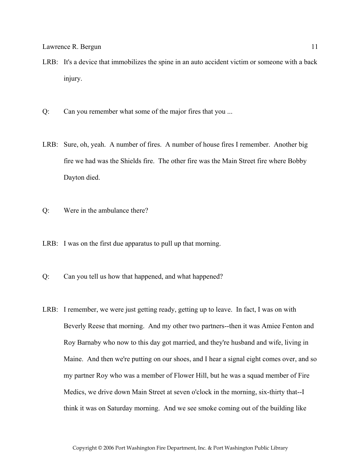- LRB: It's a device that immobilizes the spine in an auto accident victim or someone with a back injury.
- Q: Can you remember what some of the major fires that you ...
- LRB: Sure, oh, yeah. A number of fires. A number of house fires I remember. Another big fire we had was the Shields fire. The other fire was the Main Street fire where Bobby Dayton died.
- Q: Were in the ambulance there?
- LRB: I was on the first due apparatus to pull up that morning.
- Q: Can you tell us how that happened, and what happened?
- LRB: I remember, we were just getting ready, getting up to leave. In fact, I was on with Beverly Reese that morning. And my other two partners--then it was Amiee Fenton and Roy Barnaby who now to this day got married, and they're husband and wife, living in Maine. And then we're putting on our shoes, and I hear a signal eight comes over, and so my partner Roy who was a member of Flower Hill, but he was a squad member of Fire Medics, we drive down Main Street at seven o'clock in the morning, six-thirty that--I think it was on Saturday morning. And we see smoke coming out of the building like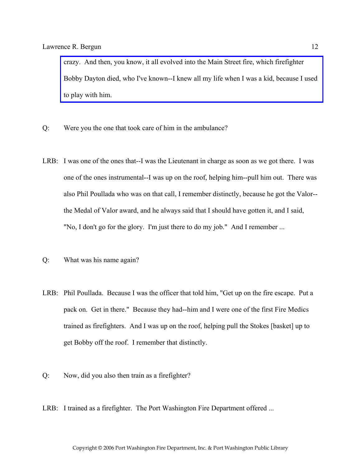crazy. And then, you know, it all evolved into the Main Street fire, which firefighter [Bobby Dayton died, who I've known--I knew all my life when I was a kid, because I used](http://www.pwfdhistory.com/trans/augustino_trans/nday881127.pdf)  to play with him.

- Q: Were you the one that took care of him in the ambulance?
- LRB: I was one of the ones that--I was the Lieutenant in charge as soon as we got there. I was one of the ones instrumental--I was up on the roof, helping him--pull him out. There was also Phil Poullada who was on that call, I remember distinctly, because he got the Valor- the Medal of Valor award, and he always said that I should have gotten it, and I said, "No, I don't go for the glory. I'm just there to do my job." And I remember ...
- Q: What was his name again?
- LRB: Phil Poullada. Because I was the officer that told him, "Get up on the fire escape. Put a pack on. Get in there." Because they had--him and I were one of the first Fire Medics trained as firefighters. And I was up on the roof, helping pull the Stokes [basket] up to get Bobby off the roof. I remember that distinctly.
- Q: Now, did you also then train as a firefighter?
- LRB: I trained as a firefighter. The Port Washington Fire Department offered ...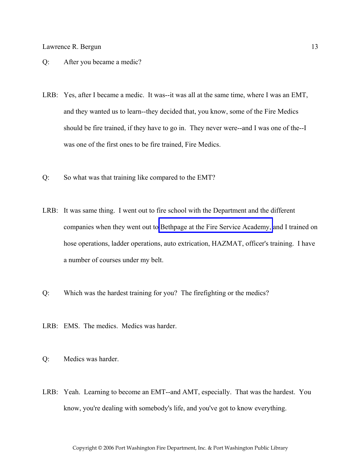- Q: After you became a medic?
- LRB: Yes, after I became a medic. It was--it was all at the same time, where I was an EMT, and they wanted us to learn--they decided that, you know, some of the Fire Medics should be fire trained, if they have to go in. They never were--and I was one of the--I was one of the first ones to be fire trained, Fire Medics.
- Q: So what was that training like compared to the EMT?
- LRB: It was same thing. I went out to fire school with the Department and the different companies when they went out to [Bethpage at the Fire Service Academy,](http://www.veebfsa.org) and I trained on hose operations, ladder operations, auto extrication, HAZMAT, officer's training. I have a number of courses under my belt.
- Q: Which was the hardest training for you? The firefighting or the medics?
- LRB: EMS. The medics. Medics was harder.
- Q: Medics was harder.
- LRB: Yeah. Learning to become an EMT--and AMT, especially. That was the hardest. You know, you're dealing with somebody's life, and you've got to know everything.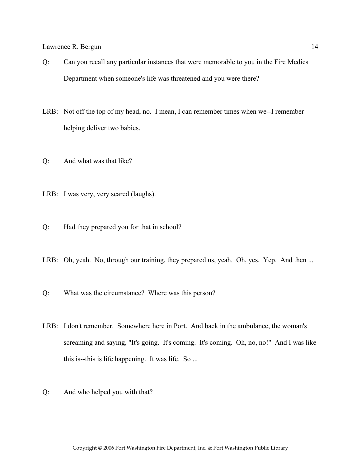- Q: Can you recall any particular instances that were memorable to you in the Fire Medics Department when someone's life was threatened and you were there?
- LRB: Not off the top of my head, no. I mean, I can remember times when we--I remember helping deliver two babies.
- Q: And what was that like?
- LRB: I was very, very scared (laughs).
- Q: Had they prepared you for that in school?
- LRB: Oh, yeah. No, through our training, they prepared us, yeah. Oh, yes. Yep. And then ...
- Q: What was the circumstance? Where was this person?
- LRB: I don't remember. Somewhere here in Port. And back in the ambulance, the woman's screaming and saying, "It's going. It's coming. It's coming. Oh, no, no!" And I was like this is--this is life happening. It was life. So ...
- Q: And who helped you with that?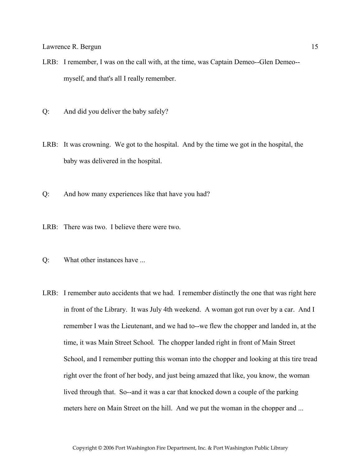- LRB: I remember, I was on the call with, at the time, was Captain Demeo--Glen Demeo- myself, and that's all I really remember.
- Q: And did you deliver the baby safely?
- LRB: It was crowning. We got to the hospital. And by the time we got in the hospital, the baby was delivered in the hospital.
- Q: And how many experiences like that have you had?
- LRB: There was two. I believe there were two.
- Q: What other instances have ...
- LRB: I remember auto accidents that we had. I remember distinctly the one that was right here in front of the Library. It was July 4th weekend. A woman got run over by a car. And I remember I was the Lieutenant, and we had to--we flew the chopper and landed in, at the time, it was Main Street School. The chopper landed right in front of Main Street School, and I remember putting this woman into the chopper and looking at this tire tread right over the front of her body, and just being amazed that like, you know, the woman lived through that. So--and it was a car that knocked down a couple of the parking meters here on Main Street on the hill. And we put the woman in the chopper and ...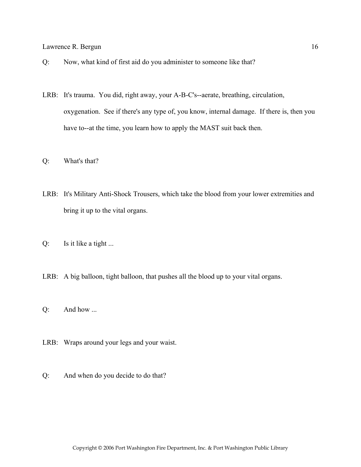- Q: Now, what kind of first aid do you administer to someone like that?
- LRB: It's trauma. You did, right away, your A-B-C's--aerate, breathing, circulation, oxygenation. See if there's any type of, you know, internal damage. If there is, then you have to--at the time, you learn how to apply the MAST suit back then.
- Q: What's that?
- LRB: It's Military Anti-Shock Trousers, which take the blood from your lower extremities and bring it up to the vital organs.
- Q: Is it like a tight ...
- LRB: A big balloon, tight balloon, that pushes all the blood up to your vital organs.
- Q: And how ...
- LRB: Wraps around your legs and your waist.
- Q: And when do you decide to do that?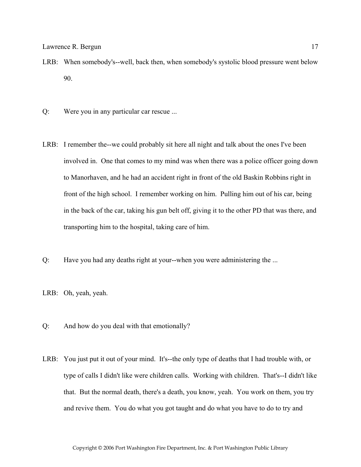- LRB: When somebody's--well, back then, when somebody's systolic blood pressure went below 90.
- Q: Were you in any particular car rescue ...
- LRB: I remember the--we could probably sit here all night and talk about the ones I've been involved in. One that comes to my mind was when there was a police officer going down to Manorhaven, and he had an accident right in front of the old Baskin Robbins right in front of the high school. I remember working on him. Pulling him out of his car, being in the back of the car, taking his gun belt off, giving it to the other PD that was there, and transporting him to the hospital, taking care of him.
- Q: Have you had any deaths right at your--when you were administering the ...
- LRB: Oh, yeah, yeah.
- Q: And how do you deal with that emotionally?
- LRB: You just put it out of your mind. It's--the only type of deaths that I had trouble with, or type of calls I didn't like were children calls. Working with children. That's--I didn't like that. But the normal death, there's a death, you know, yeah. You work on them, you try and revive them. You do what you got taught and do what you have to do to try and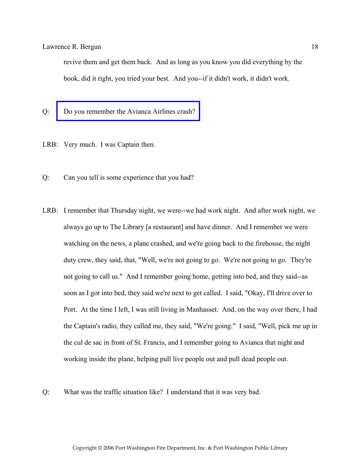revive them and get them back. And as long as you know you did everything by the book, did it right, you tried your best. And you--if it didn't work, it didn't work.

- Q: [Do you remember the Avianca Airlines crash?](http://www.pwfdhistory.com/trans/bergun_trans/pnews900125_pz.jpg)
- LRB: Very much. I was Captain then.
- Q: Can you tell is some experience that you had?
- LRB: I remember that Thursday night, we were--we had work night. And after work night, we always go up to The Library [a restaurant] and have dinner. And I remember we were watching on the news, a plane crashed, and we're going back to the firehouse, the night duty crew, they said, that, "Well, we're not going to go. We're not going to go. They're not going to call us." And I remember going home, getting into bed, and they said--as soon as I got into bed, they said we're next to get called. I said, "Okay, I'll drive over to Port. At the time I left, I was still living in Manhasset. And, on the way over there, I had the Captain's radio, they called me, they said, "We're going." I said, "Well, pick me up in the cul de sac in front of St. Francis, and I remember going to Avianca that night and working inside the plane, helping pull live people out and pull dead people out.
- Q: What was the traffic situation like? I understand that it was very bad.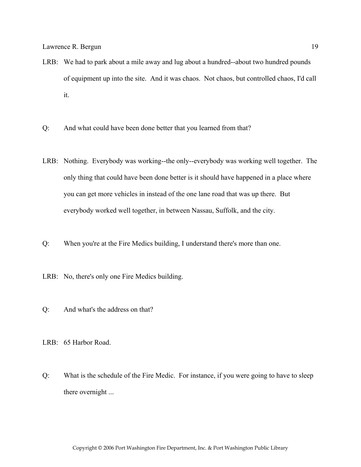- LRB: We had to park about a mile away and lug about a hundred--about two hundred pounds of equipment up into the site. And it was chaos. Not chaos, but controlled chaos, I'd call it.
- Q: And what could have been done better that you learned from that?
- LRB: Nothing. Everybody was working--the only--everybody was working well together. The only thing that could have been done better is it should have happened in a place where you can get more vehicles in instead of the one lane road that was up there. But everybody worked well together, in between Nassau, Suffolk, and the city.
- Q: When you're at the Fire Medics building, I understand there's more than one.
- LRB: No, there's only one Fire Medics building.
- Q: And what's the address on that?
- LRB: 65 Harbor Road.
- Q: What is the schedule of the Fire Medic. For instance, if you were going to have to sleep there overnight ...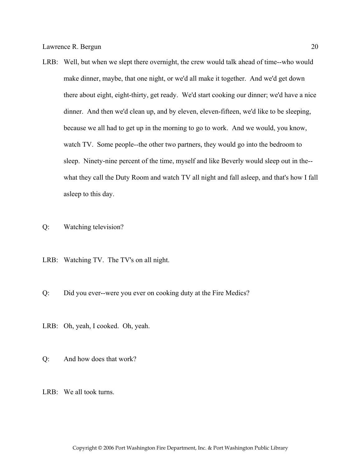- LRB: Well, but when we slept there overnight, the crew would talk ahead of time--who would make dinner, maybe, that one night, or we'd all make it together. And we'd get down there about eight, eight-thirty, get ready. We'd start cooking our dinner; we'd have a nice dinner. And then we'd clean up, and by eleven, eleven-fifteen, we'd like to be sleeping, because we all had to get up in the morning to go to work. And we would, you know, watch TV. Some people--the other two partners, they would go into the bedroom to sleep. Ninety-nine percent of the time, myself and like Beverly would sleep out in the- what they call the Duty Room and watch TV all night and fall asleep, and that's how I fall asleep to this day.
- Q: Watching television?
- LRB: Watching TV. The TV's on all night.
- Q: Did you ever--were you ever on cooking duty at the Fire Medics?
- LRB: Oh, yeah, I cooked. Oh, yeah.
- Q: And how does that work?
- LRB: We all took turns.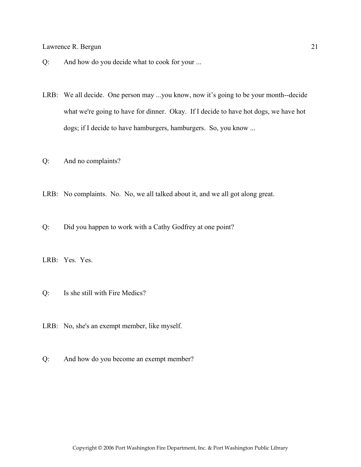- Q: And how do you decide what to cook for your ...
- LRB: We all decide. One person may ...you know, now it's going to be your month--decide what we're going to have for dinner. Okay. If I decide to have hot dogs, we have hot dogs; if I decide to have hamburgers, hamburgers. So, you know ...
- Q: And no complaints?
- LRB: No complaints. No. No, we all talked about it, and we all got along great.
- Q: Did you happen to work with a Cathy Godfrey at one point?
- LRB: Yes. Yes.
- Q: Is she still with Fire Medics?
- LRB: No, she's an exempt member, like myself.
- Q: And how do you become an exempt member?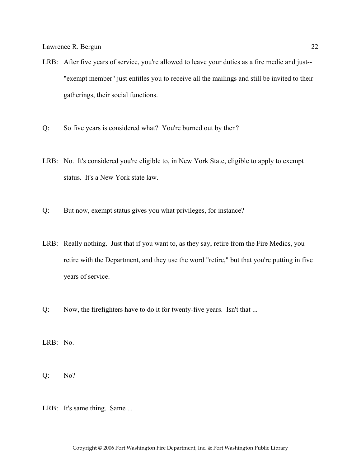- LRB: After five years of service, you're allowed to leave your duties as a fire medic and just-- "exempt member" just entitles you to receive all the mailings and still be invited to their gatherings, their social functions.
- Q: So five years is considered what? You're burned out by then?
- LRB: No. It's considered you're eligible to, in New York State, eligible to apply to exempt status. It's a New York state law.
- Q: But now, exempt status gives you what privileges, for instance?
- LRB: Really nothing. Just that if you want to, as they say, retire from the Fire Medics, you retire with the Department, and they use the word "retire," but that you're putting in five years of service.
- Q: Now, the firefighters have to do it for twenty-five years. Isn't that ...

LRB: No.

Q: No?

LRB: It's same thing. Same ...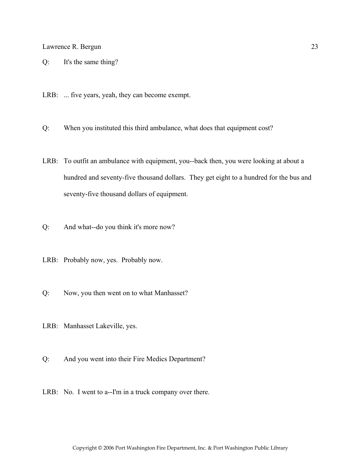Q: It's the same thing?

LRB: ... five years, yeah, they can become exempt.

Q: When you instituted this third ambulance, what does that equipment cost?

- LRB: To outfit an ambulance with equipment, you--back then, you were looking at about a hundred and seventy-five thousand dollars. They get eight to a hundred for the bus and seventy-five thousand dollars of equipment.
- Q: And what--do you think it's more now?
- LRB: Probably now, yes. Probably now.
- Q: Now, you then went on to what Manhasset?
- LRB: Manhasset Lakeville, yes.
- Q: And you went into their Fire Medics Department?
- LRB: No. I went to a--I'm in a truck company over there.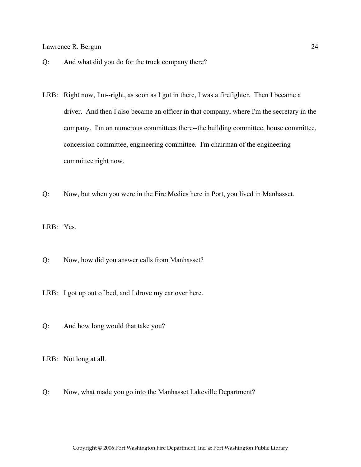- Q: And what did you do for the truck company there?
- LRB: Right now, I'm--right, as soon as I got in there, I was a firefighter. Then I became a driver. And then I also became an officer in that company, where I'm the secretary in the company. I'm on numerous committees there--the building committee, house committee, concession committee, engineering committee. I'm chairman of the engineering committee right now.
- Q: Now, but when you were in the Fire Medics here in Port, you lived in Manhasset.

LRB: Yes.

- Q: Now, how did you answer calls from Manhasset?
- LRB: I got up out of bed, and I drove my car over here.
- Q: And how long would that take you?

LRB: Not long at all.

Q: Now, what made you go into the Manhasset Lakeville Department?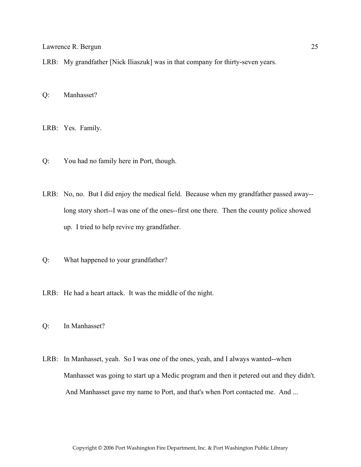LRB: My grandfather [Nick Iliaszuk] was in that company for thirty-seven years.

Q: Manhasset?

LRB: Yes. Family.

Q: You had no family here in Port, though.

LRB: No, no. But I did enjoy the medical field. Because when my grandfather passed away- long story short--I was one of the ones--first one there. Then the county police showed up. I tried to help revive my grandfather.

Q: What happened to your grandfather?

LRB: He had a heart attack. It was the middle of the night.

Q: In Manhasset?

LRB: In Manhasset, yeah. So I was one of the ones, yeah, and I always wanted--when Manhasset was going to start up a Medic program and then it petered out and they didn't. And Manhasset gave my name to Port, and that's when Port contacted me. And ...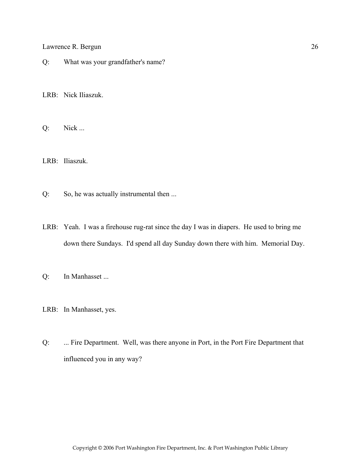Q: What was your grandfather's name?

LRB: Nick Iliaszuk.

Q: Nick ...

LRB: Iliaszuk.

Q: So, he was actually instrumental then ...

- LRB: Yeah. I was a firehouse rug-rat since the day I was in diapers. He used to bring me down there Sundays. I'd spend all day Sunday down there with him. Memorial Day.
- Q: In Manhasset ...
- LRB: In Manhasset, yes.
- Q: ... Fire Department. Well, was there anyone in Port, in the Port Fire Department that influenced you in any way?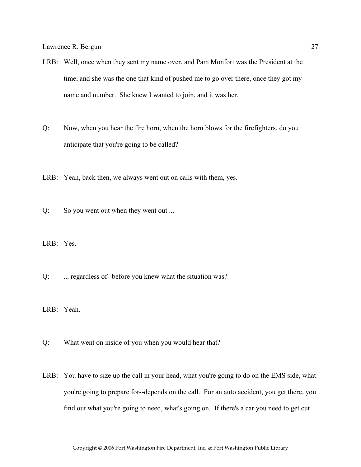- LRB: Well, once when they sent my name over, and Pam Monfort was the President at the time, and she was the one that kind of pushed me to go over there, once they got my name and number. She knew I wanted to join, and it was her.
- Q: Now, when you hear the fire horn, when the horn blows for the firefighters, do you anticipate that you're going to be called?
- LRB: Yeah, back then, we always went out on calls with them, yes.
- Q: So you went out when they went out ...
- LRB: Yes.
- Q: ... regardless of--before you knew what the situation was?
- LRB: Yeah.
- Q: What went on inside of you when you would hear that?
- LRB: You have to size up the call in your head, what you're going to do on the EMS side, what you're going to prepare for--depends on the call. For an auto accident, you get there, you find out what you're going to need, what's going on. If there's a car you need to get cut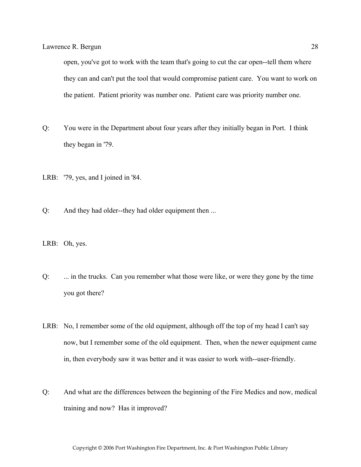open, you've got to work with the team that's going to cut the car open--tell them where they can and can't put the tool that would compromise patient care. You want to work on the patient. Patient priority was number one. Patient care was priority number one.

- Q: You were in the Department about four years after they initially began in Port. I think they began in '79.
- LRB: '79, yes, and I joined in '84.
- Q: And they had older--they had older equipment then ...
- LRB: Oh, yes.
- Q: ... in the trucks. Can you remember what those were like, or were they gone by the time you got there?
- LRB: No, I remember some of the old equipment, although off the top of my head I can't say now, but I remember some of the old equipment. Then, when the newer equipment came in, then everybody saw it was better and it was easier to work with--user-friendly.
- Q: And what are the differences between the beginning of the Fire Medics and now, medical training and now? Has it improved?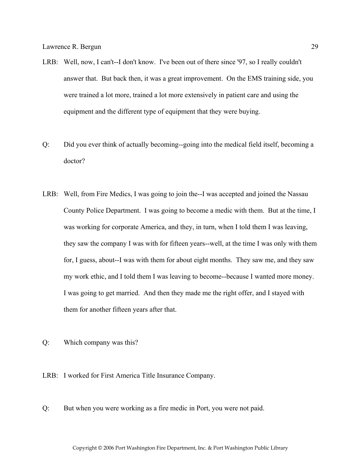- LRB: Well, now, I can't--I don't know. I've been out of there since '97, so I really couldn't answer that. But back then, it was a great improvement. On the EMS training side, you were trained a lot more, trained a lot more extensively in patient care and using the equipment and the different type of equipment that they were buying.
- Q: Did you ever think of actually becoming--going into the medical field itself, becoming a doctor?
- LRB: Well, from Fire Medics, I was going to join the--I was accepted and joined the Nassau County Police Department. I was going to become a medic with them. But at the time, I was working for corporate America, and they, in turn, when I told them I was leaving, they saw the company I was with for fifteen years--well, at the time I was only with them for, I guess, about--I was with them for about eight months. They saw me, and they saw my work ethic, and I told them I was leaving to become--because I wanted more money. I was going to get married. And then they made me the right offer, and I stayed with them for another fifteen years after that.
- Q: Which company was this?
- LRB: I worked for First America Title Insurance Company.
- Q: But when you were working as a fire medic in Port, you were not paid.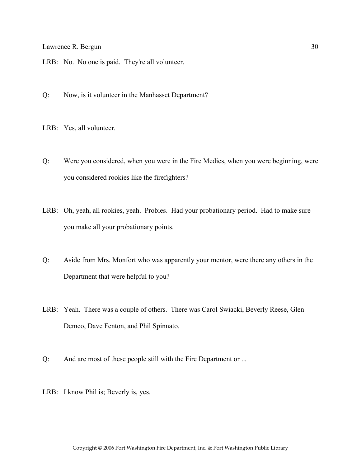LRB: No. No one is paid. They're all volunteer.

Q: Now, is it volunteer in the Manhasset Department?

LRB: Yes, all volunteer.

- Q: Were you considered, when you were in the Fire Medics, when you were beginning, were you considered rookies like the firefighters?
- LRB: Oh, yeah, all rookies, yeah. Probies. Had your probationary period. Had to make sure you make all your probationary points.
- Q: Aside from Mrs. Monfort who was apparently your mentor, were there any others in the Department that were helpful to you?
- LRB: Yeah. There was a couple of others. There was Carol Swiacki, Beverly Reese, Glen Demeo, Dave Fenton, and Phil Spinnato.
- Q: And are most of these people still with the Fire Department or ...
- LRB: I know Phil is; Beverly is, yes.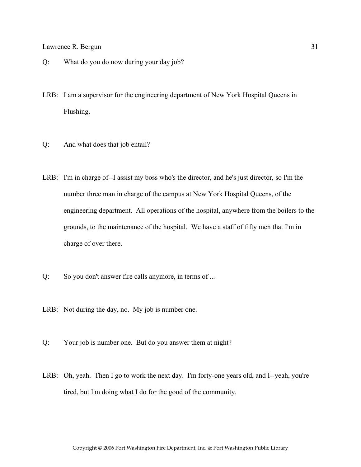- Q: What do you do now during your day job?
- LRB: I am a supervisor for the engineering department of New York Hospital Queens in Flushing.
- Q: And what does that job entail?
- LRB: I'm in charge of--I assist my boss who's the director, and he's just director, so I'm the number three man in charge of the campus at New York Hospital Queens, of the engineering department. All operations of the hospital, anywhere from the boilers to the grounds, to the maintenance of the hospital. We have a staff of fifty men that I'm in charge of over there.
- Q: So you don't answer fire calls anymore, in terms of ...
- LRB: Not during the day, no. My job is number one.
- Q: Your job is number one. But do you answer them at night?
- LRB: Oh, yeah. Then I go to work the next day. I'm forty-one years old, and I--yeah, you're tired, but I'm doing what I do for the good of the community.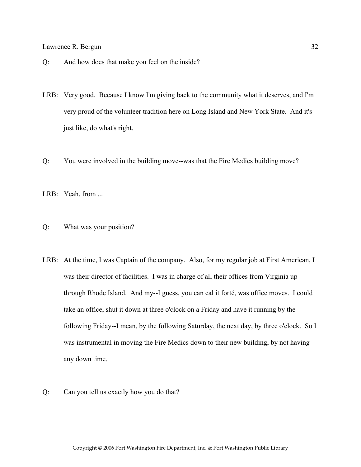- Q: And how does that make you feel on the inside?
- LRB: Very good. Because I know I'm giving back to the community what it deserves, and I'm very proud of the volunteer tradition here on Long Island and New York State. And it's just like, do what's right.
- Q: You were involved in the building move--was that the Fire Medics building move?
- LRB: Yeah, from ...
- Q: What was your position?
- LRB: At the time, I was Captain of the company. Also, for my regular job at First American, I was their director of facilities. I was in charge of all their offices from Virginia up through Rhode Island. And my--I guess, you can cal it forté, was office moves. I could take an office, shut it down at three o'clock on a Friday and have it running by the following Friday--I mean, by the following Saturday, the next day, by three o'clock. So I was instrumental in moving the Fire Medics down to their new building, by not having any down time.
- Q: Can you tell us exactly how you do that?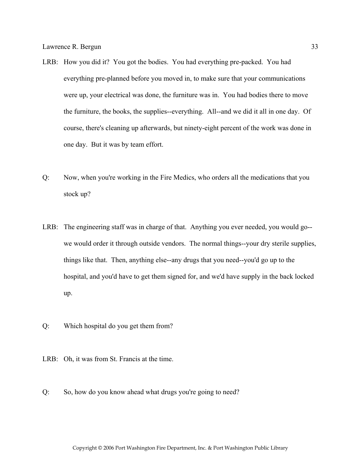- LRB: How you did it? You got the bodies. You had everything pre-packed. You had everything pre-planned before you moved in, to make sure that your communications were up, your electrical was done, the furniture was in. You had bodies there to move the furniture, the books, the supplies--everything. All--and we did it all in one day. Of course, there's cleaning up afterwards, but ninety-eight percent of the work was done in one day. But it was by team effort.
- Q: Now, when you're working in the Fire Medics, who orders all the medications that you stock up?
- LRB: The engineering staff was in charge of that. Anything you ever needed, you would go- we would order it through outside vendors. The normal things--your dry sterile supplies, things like that. Then, anything else--any drugs that you need--you'd go up to the hospital, and you'd have to get them signed for, and we'd have supply in the back locked up.
- Q: Which hospital do you get them from?
- LRB: Oh, it was from St. Francis at the time.
- Q: So, how do you know ahead what drugs you're going to need?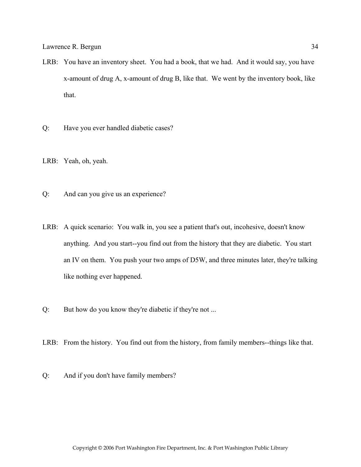- LRB: You have an inventory sheet. You had a book, that we had. And it would say, you have x-amount of drug A, x-amount of drug B, like that. We went by the inventory book, like that.
- Q: Have you ever handled diabetic cases?

LRB: Yeah, oh, yeah.

- Q: And can you give us an experience?
- LRB: A quick scenario: You walk in, you see a patient that's out, incohesive, doesn't know anything. And you start--you find out from the history that they are diabetic. You start an IV on them. You push your two amps of D5W, and three minutes later, they're talking like nothing ever happened.
- Q: But how do you know they're diabetic if they're not ...
- LRB: From the history. You find out from the history, from family members--things like that.
- Q: And if you don't have family members?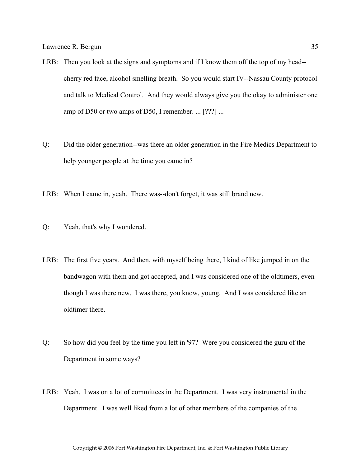- LRB: Then you look at the signs and symptoms and if I know them off the top of my head- cherry red face, alcohol smelling breath. So you would start IV--Nassau County protocol and talk to Medical Control. And they would always give you the okay to administer one amp of D50 or two amps of D50, I remember. ... [???] ...
- Q: Did the older generation--was there an older generation in the Fire Medics Department to help younger people at the time you came in?
- LRB: When I came in, yeah. There was--don't forget, it was still brand new.
- Q: Yeah, that's why I wondered.
- LRB: The first five years. And then, with myself being there, I kind of like jumped in on the bandwagon with them and got accepted, and I was considered one of the oldtimers, even though I was there new. I was there, you know, young. And I was considered like an oldtimer there.
- Q: So how did you feel by the time you left in '97? Were you considered the guru of the Department in some ways?
- LRB: Yeah. I was on a lot of committees in the Department. I was very instrumental in the Department. I was well liked from a lot of other members of the companies of the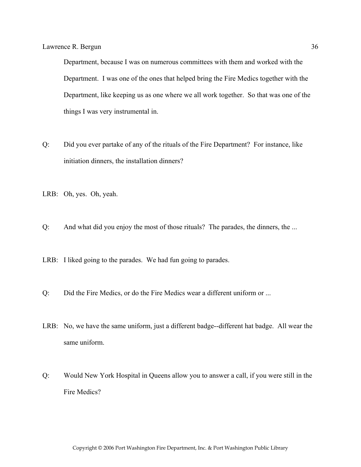Department, because I was on numerous committees with them and worked with the Department. I was one of the ones that helped bring the Fire Medics together with the Department, like keeping us as one where we all work together. So that was one of the things I was very instrumental in.

- Q: Did you ever partake of any of the rituals of the Fire Department? For instance, like initiation dinners, the installation dinners?
- LRB: Oh, yes. Oh, yeah.
- Q: And what did you enjoy the most of those rituals? The parades, the dinners, the ...
- LRB: I liked going to the parades. We had fun going to parades.
- Q: Did the Fire Medics, or do the Fire Medics wear a different uniform or ...
- LRB: No, we have the same uniform, just a different badge--different hat badge. All wear the same uniform.
- Q: Would New York Hospital in Queens allow you to answer a call, if you were still in the Fire Medics?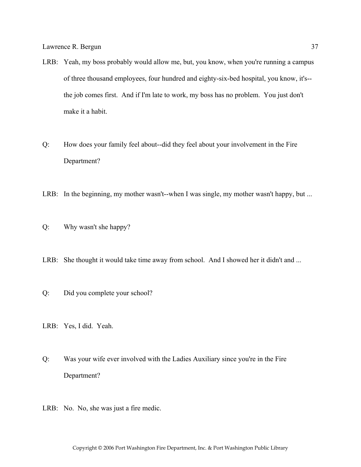- LRB: Yeah, my boss probably would allow me, but, you know, when you're running a campus of three thousand employees, four hundred and eighty-six-bed hospital, you know, it's- the job comes first. And if I'm late to work, my boss has no problem. You just don't make it a habit.
- Q: How does your family feel about--did they feel about your involvement in the Fire Department?
- LRB: In the beginning, my mother wasn't--when I was single, my mother wasn't happy, but ...
- Q: Why wasn't she happy?
- LRB: She thought it would take time away from school. And I showed her it didn't and ...
- Q: Did you complete your school?
- LRB: Yes, I did. Yeah.
- Q: Was your wife ever involved with the Ladies Auxiliary since you're in the Fire Department?
- LRB: No. No, she was just a fire medic.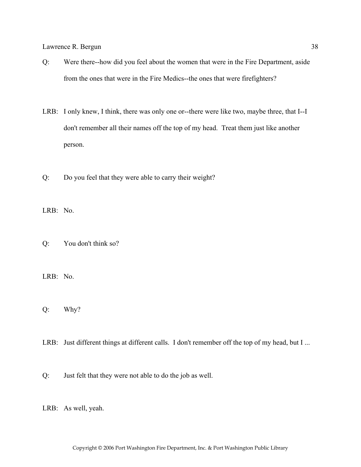- Q: Were there--how did you feel about the women that were in the Fire Department, aside from the ones that were in the Fire Medics--the ones that were firefighters?
- LRB: I only knew, I think, there was only one or--there were like two, maybe three, that I--I don't remember all their names off the top of my head. Treat them just like another person.
- Q: Do you feel that they were able to carry their weight?

LRB: No.

Q: You don't think so?

LRB: No.

- Q: Why?
- LRB: Just different things at different calls. I don't remember off the top of my head, but I ...
- Q: Just felt that they were not able to do the job as well.

LRB: As well, yeah.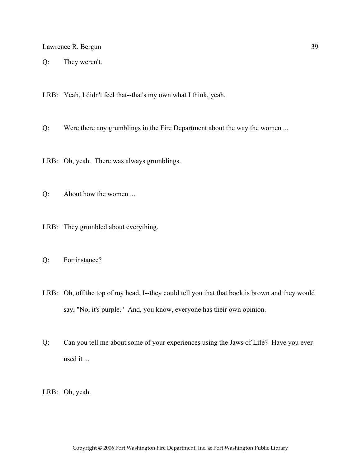Q: They weren't.

LRB: Yeah, I didn't feel that--that's my own what I think, yeah.

Q: Were there any grumblings in the Fire Department about the way the women ...

LRB: Oh, yeah. There was always grumblings.

Q: About how the women ...

LRB: They grumbled about everything.

Q: For instance?

LRB: Oh, off the top of my head, I--they could tell you that that book is brown and they would say, "No, it's purple." And, you know, everyone has their own opinion.

Q: Can you tell me about some of your experiences using the Jaws of Life? Have you ever used it ...

LRB: Oh, yeah.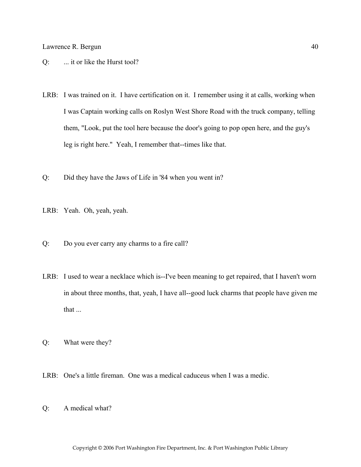- Q: ... it or like the Hurst tool?
- LRB: I was trained on it. I have certification on it. I remember using it at calls, working when I was Captain working calls on Roslyn West Shore Road with the truck company, telling them, "Look, put the tool here because the door's going to pop open here, and the guy's leg is right here." Yeah, I remember that--times like that.
- Q: Did they have the Jaws of Life in '84 when you went in?
- LRB: Yeah. Oh, yeah, yeah.
- Q: Do you ever carry any charms to a fire call?
- LRB: I used to wear a necklace which is--I've been meaning to get repaired, that I haven't worn in about three months, that, yeah, I have all--good luck charms that people have given me that ...
- Q: What were they?
- LRB: One's a little fireman. One was a medical caduceus when I was a medic.
- Q: A medical what?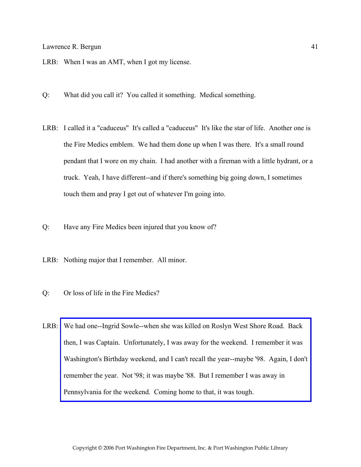- LRB: When I was an AMT, when I got my license.
- Q: What did you call it? You called it something. Medical something.
- LRB: I called it a "caduceus" It's called a "caduceus" It's like the star of life. Another one is the Fire Medics emblem. We had them done up when I was there. It's a small round pendant that I wore on my chain. I had another with a fireman with a little hydrant, or a truck. Yeah, I have different--and if there's something big going down, I sometimes touch them and pray I get out of whatever I'm going into.
- Q: Have any Fire Medics been injured that you know of?
- LRB: Nothing major that I remember. All minor.
- Q: Or loss of life in the Fire Medics?
- LRB: We had one--Ingrid Sowle--when she was killed on Roslyn West Shore Road. Back then, I was Captain. Unfortunately, I was away for the weekend. I remember it was [Washington's Birthday weekend, and I can't recall the year--maybe '98. Again, I don't](http://www.pwfdhistory.com/trans/bergun_trans/pnews900222_pz_web.jpg)  remember the year. Not '98; it was maybe '88. But I remember I was away in Pennsylvania for the weekend. Coming home to that, it was tough.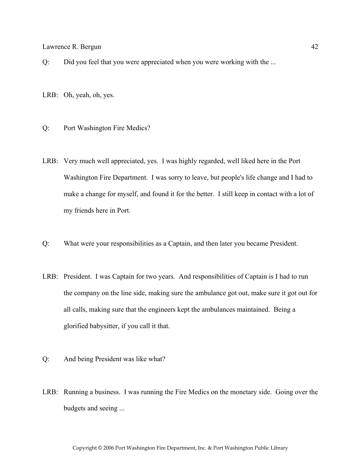Q: Did you feel that you were appreciated when you were working with the ...

LRB: Oh, yeah, oh, yes.

#### Q: Port Washington Fire Medics?

- LRB: Very much well appreciated, yes. I was highly regarded, well liked here in the Port Washington Fire Department. I was sorry to leave, but people's life change and I had to make a change for myself, and found it for the better. I still keep in contact with a lot of my friends here in Port.
- Q: What were your responsibilities as a Captain, and then later you became President.
- LRB: President. I was Captain for two years. And responsibilities of Captain is I had to run the company on the line side, making sure the ambulance got out, make sure it got out for all calls, making sure that the engineers kept the ambulances maintained. Being a glorified babysitter, if you call it that.
- Q: And being President was like what?
- LRB: Running a business. I was running the Fire Medics on the monetary side. Going over the budgets and seeing ...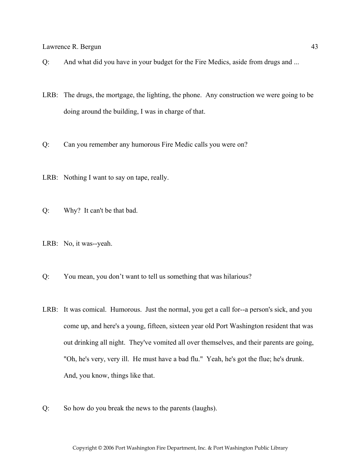- Q: And what did you have in your budget for the Fire Medics, aside from drugs and ...
- LRB: The drugs, the mortgage, the lighting, the phone. Any construction we were going to be doing around the building, I was in charge of that.
- Q: Can you remember any humorous Fire Medic calls you were on?
- LRB: Nothing I want to say on tape, really.
- Q: Why? It can't be that bad.
- LRB: No, it was--yeah.
- Q: You mean, you don't want to tell us something that was hilarious?
- LRB: It was comical. Humorous. Just the normal, you get a call for--a person's sick, and you come up, and here's a young, fifteen, sixteen year old Port Washington resident that was out drinking all night. They've vomited all over themselves, and their parents are going, "Oh, he's very, very ill. He must have a bad flu." Yeah, he's got the flue; he's drunk. And, you know, things like that.
- Q: So how do you break the news to the parents (laughs).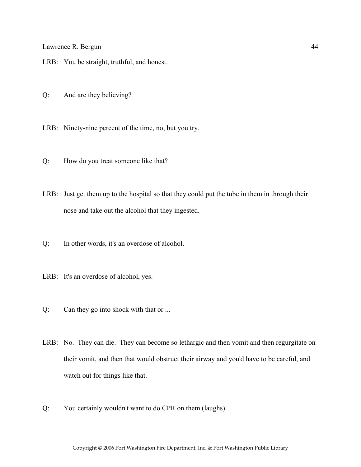- LRB: You be straight, truthful, and honest.
- Q: And are they believing?
- LRB: Ninety-nine percent of the time, no, but you try.
- Q: How do you treat someone like that?
- LRB: Just get them up to the hospital so that they could put the tube in them in through their nose and take out the alcohol that they ingested.
- Q: In other words, it's an overdose of alcohol.
- LRB: It's an overdose of alcohol, yes.
- Q: Can they go into shock with that or ...
- LRB: No. They can die. They can become so lethargic and then vomit and then regurgitate on their vomit, and then that would obstruct their airway and you'd have to be careful, and watch out for things like that.
- Q: You certainly wouldn't want to do CPR on them (laughs).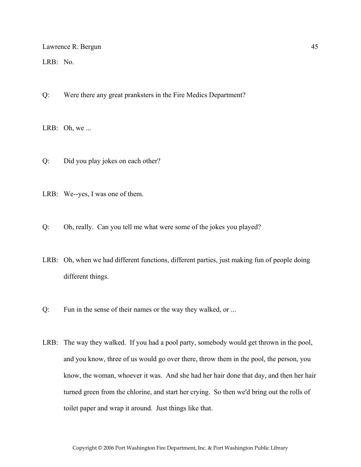LRB: No.

Q: Were there any great pranksters in the Fire Medics Department?

LRB: Oh, we ...

Q: Did you play jokes on each other?

LRB: We--yes, I was one of them.

Q: Oh, really. Can you tell me what were some of the jokes you played?

- LRB: Oh, when we had different functions, different parties, just making fun of people doing different things.
- Q: Fun in the sense of their names or the way they walked, or ...
- LRB: The way they walked. If you had a pool party, somebody would get thrown in the pool, and you know, three of us would go over there, throw them in the pool, the person, you know, the woman, whoever it was. And she had her hair done that day, and then her hair turned green from the chlorine, and start her crying. So then we'd bring out the rolls of toilet paper and wrap it around. Just things like that.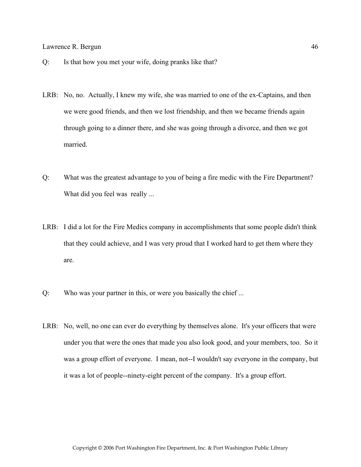- Q: Is that how you met your wife, doing pranks like that?
- LRB: No, no. Actually, I knew my wife, she was married to one of the ex-Captains, and then we were good friends, and then we lost friendship, and then we became friends again through going to a dinner there, and she was going through a divorce, and then we got married.
- Q: What was the greatest advantage to you of being a fire medic with the Fire Department? What did you feel was really ...
- LRB: I did a lot for the Fire Medics company in accomplishments that some people didn't think that they could achieve, and I was very proud that I worked hard to get them where they are.
- Q: Who was your partner in this, or were you basically the chief ...
- LRB: No, well, no one can ever do everything by themselves alone. It's your officers that were under you that were the ones that made you also look good, and your members, too. So it was a group effort of everyone. I mean, not--I wouldn't say everyone in the company, but it was a lot of people--ninety-eight percent of the company. It's a group effort.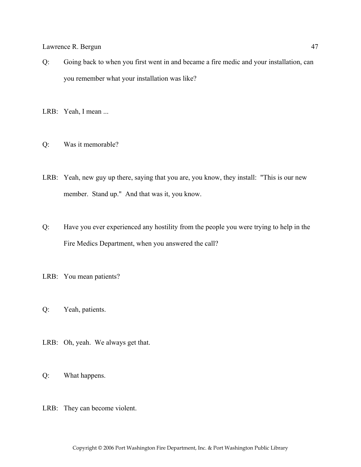Q: Going back to when you first went in and became a fire medic and your installation, can you remember what your installation was like?

LRB: Yeah, I mean ...

- Q: Was it memorable?
- LRB: Yeah, new guy up there, saying that you are, you know, they install: "This is our new member. Stand up." And that was it, you know.
- Q: Have you ever experienced any hostility from the people you were trying to help in the Fire Medics Department, when you answered the call?

LRB: You mean patients?

- Q: Yeah, patients.
- LRB: Oh, yeah. We always get that.
- Q: What happens.
- LRB: They can become violent.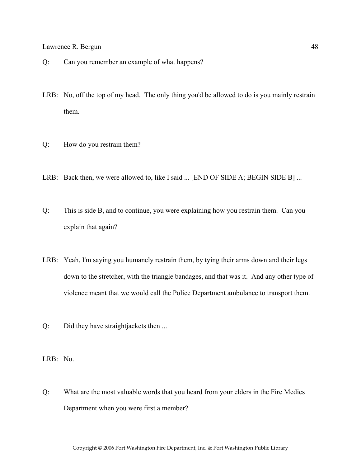- Q: Can you remember an example of what happens?
- LRB: No, off the top of my head. The only thing you'd be allowed to do is you mainly restrain them.
- Q: How do you restrain them?
- LRB: Back then, we were allowed to, like I said ... [END OF SIDE A; BEGIN SIDE B] ...
- Q: This is side B, and to continue, you were explaining how you restrain them. Can you explain that again?
- LRB: Yeah, I'm saying you humanely restrain them, by tying their arms down and their legs down to the stretcher, with the triangle bandages, and that was it. And any other type of violence meant that we would call the Police Department ambulance to transport them.
- Q: Did they have straightjackets then ...
- LRB: No.
- Q: What are the most valuable words that you heard from your elders in the Fire Medics Department when you were first a member?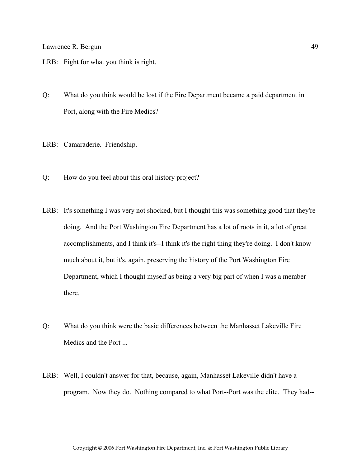- LRB: Fight for what you think is right.
- Q: What do you think would be lost if the Fire Department became a paid department in Port, along with the Fire Medics?
- LRB: Camaraderie. Friendship.
- Q: How do you feel about this oral history project?
- LRB: It's something I was very not shocked, but I thought this was something good that they're doing. And the Port Washington Fire Department has a lot of roots in it, a lot of great accomplishments, and I think it's--I think it's the right thing they're doing. I don't know much about it, but it's, again, preserving the history of the Port Washington Fire Department, which I thought myself as being a very big part of when I was a member there.
- Q: What do you think were the basic differences between the Manhasset Lakeville Fire Medics and the Port ...
- LRB: Well, I couldn't answer for that, because, again, Manhasset Lakeville didn't have a program. Now they do. Nothing compared to what Port--Port was the elite. They had--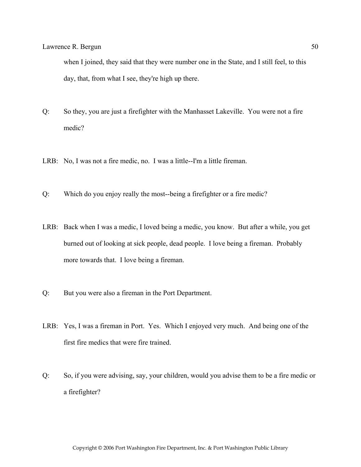when I joined, they said that they were number one in the State, and I still feel, to this day, that, from what I see, they're high up there.

- Q: So they, you are just a firefighter with the Manhasset Lakeville. You were not a fire medic?
- LRB: No, I was not a fire medic, no. I was a little--I'm a little fireman.
- Q: Which do you enjoy really the most--being a firefighter or a fire medic?
- LRB: Back when I was a medic, I loved being a medic, you know. But after a while, you get burned out of looking at sick people, dead people. I love being a fireman. Probably more towards that. I love being a fireman.
- Q: But you were also a fireman in the Port Department.
- LRB: Yes, I was a fireman in Port. Yes. Which I enjoyed very much. And being one of the first fire medics that were fire trained.
- Q: So, if you were advising, say, your children, would you advise them to be a fire medic or a firefighter?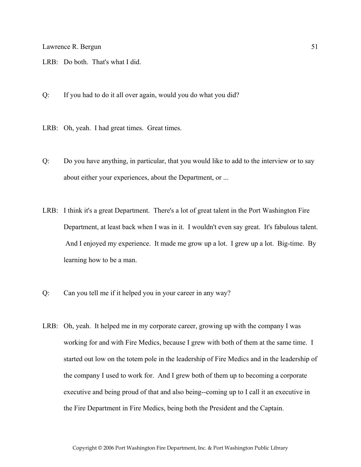- LRB: Do both. That's what I did.
- Q: If you had to do it all over again, would you do what you did?
- LRB: Oh, yeah. I had great times. Great times.
- Q: Do you have anything, in particular, that you would like to add to the interview or to say about either your experiences, about the Department, or ...
- LRB: I think it's a great Department. There's a lot of great talent in the Port Washington Fire Department, at least back when I was in it. I wouldn't even say great. It's fabulous talent. And I enjoyed my experience. It made me grow up a lot. I grew up a lot. Big-time. By learning how to be a man.
- Q: Can you tell me if it helped you in your career in any way?
- LRB: Oh, yeah. It helped me in my corporate career, growing up with the company I was working for and with Fire Medics, because I grew with both of them at the same time. I started out low on the totem pole in the leadership of Fire Medics and in the leadership of the company I used to work for. And I grew both of them up to becoming a corporate executive and being proud of that and also being--coming up to I call it an executive in the Fire Department in Fire Medics, being both the President and the Captain.